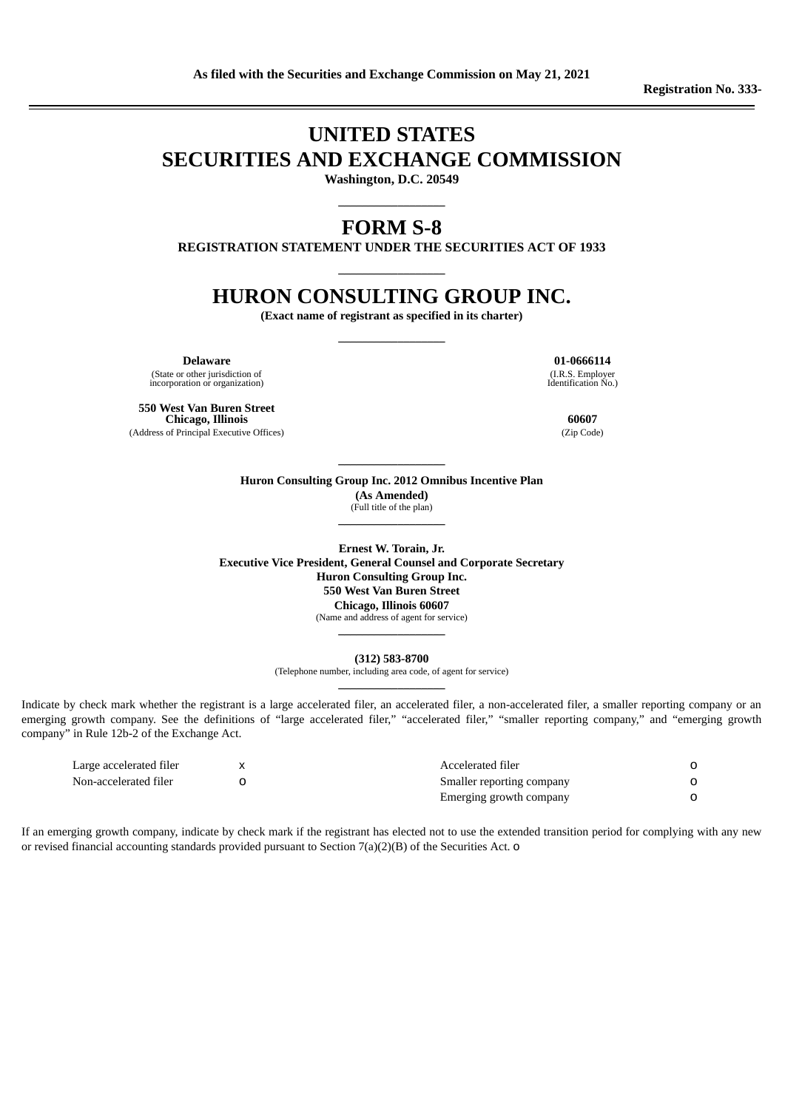# **UNITED STATES SECURITIES AND EXCHANGE COMMISSION**

**Washington, D.C. 20549 \_\_\_\_\_\_\_\_\_\_\_\_\_\_\_\_\_\_**

### **FORM S-8**

**REGISTRATION STATEMENT UNDER THE SECURITIES ACT OF 1933 \_\_\_\_\_\_\_\_\_\_\_\_\_\_\_\_\_\_**

## **HURON CONSULTING GROUP INC.**

**(Exact name of registrant as specified in its charter) \_\_\_\_\_\_\_\_\_\_\_\_\_\_\_\_\_\_**

(State or other jurisdiction of incorporation or organization)

**550 West Van Buren Street Chicago, Illinois 60607**

(Address of Principal Executive Offices) (Zip Code)

**Delaware 01-0666114** (I.R.S. Employer Identification No.)

#### **Huron Consulting Group Inc. 2012 Omnibus Incentive Plan (As Amended)** (Full title of the plan) **\_\_\_\_\_\_\_\_\_\_\_\_\_\_\_\_\_\_**

**\_\_\_\_\_\_\_\_\_\_\_\_\_\_\_\_\_\_**

**Ernest W. Torain, Jr. Executive Vice President, General Counsel and Corporate Secretary Huron Consulting Group Inc. 550 West Van Buren Street Chicago, Illinois 60607** (Name and address of agent for service)

**(312) 583-8700**

(Telephone number, including area code, of agent for service) **\_\_\_\_\_\_\_\_\_\_\_\_\_\_\_\_\_\_**

**\_\_\_\_\_\_\_\_\_\_\_\_\_\_\_\_\_\_**

Indicate by check mark whether the registrant is a large accelerated filer, an accelerated filer, a non-accelerated filer, a smaller reporting company or an emerging growth company. See the definitions of "large accelerated filer," "accelerated filer," "smaller reporting company," and "emerging growth company" in Rule 12b-2 of the Exchange Act.

| Large accelerated filer | Accelerated filer         |  |
|-------------------------|---------------------------|--|
| Non-accelerated filer   | Smaller reporting company |  |
|                         | Emerging growth company   |  |

If an emerging growth company, indicate by check mark if the registrant has elected not to use the extended transition period for complying with any new or revised financial accounting standards provided pursuant to Section 7(a)(2)(B) of the Securities Act. o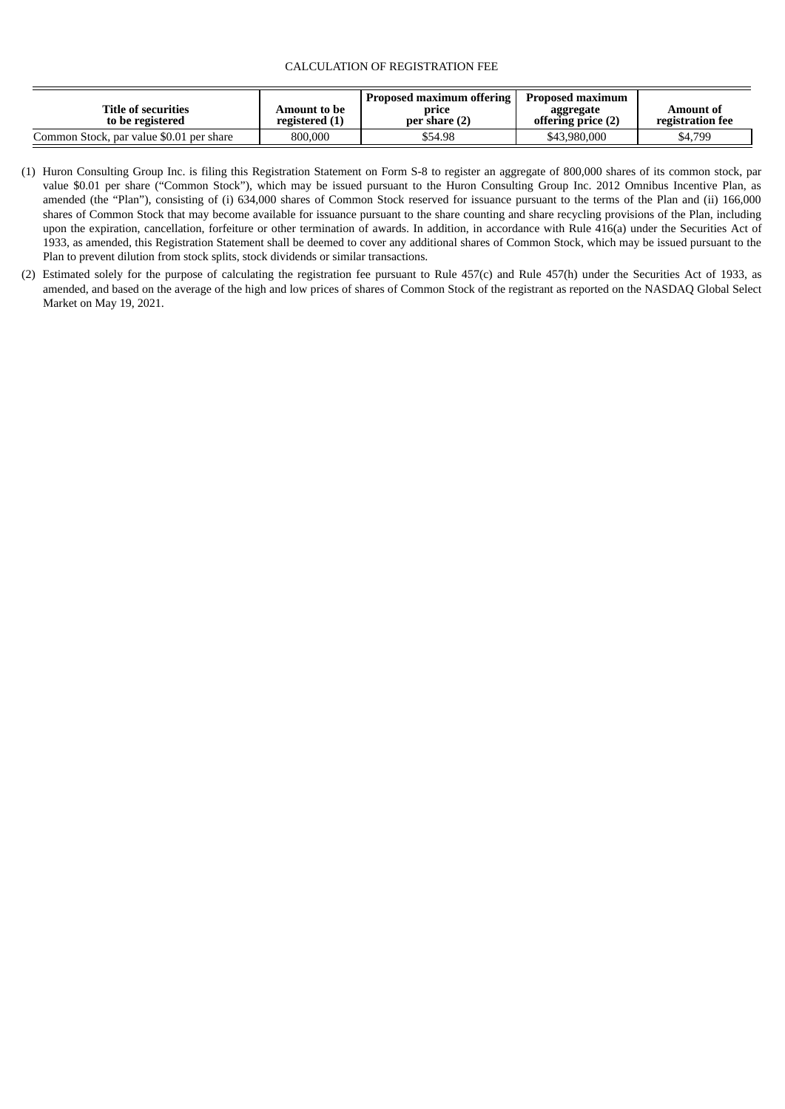#### CALCULATION OF REGISTRATION FEE

| <b>Title of securities</b><br>to be registered | Amount to be<br>registered (1) | <b>Proposed maximum offering</b><br>price<br>per share (2) | Proposed maximum<br>aggregate<br>offering price (2) | Amount of<br>registration fee |
|------------------------------------------------|--------------------------------|------------------------------------------------------------|-----------------------------------------------------|-------------------------------|
| Common Stock, par value \$0.01 per share       | 800,000                        | \$54.98                                                    | \$43,980,000                                        | \$4,799                       |

- (1) Huron Consulting Group Inc. is filing this Registration Statement on Form S-8 to register an aggregate of 800,000 shares of its common stock, par value \$0.01 per share ("Common Stock"), which may be issued pursuant to the Huron Consulting Group Inc. 2012 Omnibus Incentive Plan, as amended (the "Plan"), consisting of (i) 634,000 shares of Common Stock reserved for issuance pursuant to the terms of the Plan and (ii) 166,000 shares of Common Stock that may become available for issuance pursuant to the share counting and share recycling provisions of the Plan, including upon the expiration, cancellation, forfeiture or other termination of awards. In addition, in accordance with Rule 416(a) under the Securities Act of 1933, as amended, this Registration Statement shall be deemed to cover any additional shares of Common Stock, which may be issued pursuant to the Plan to prevent dilution from stock splits, stock dividends or similar transactions.
- (2) Estimated solely for the purpose of calculating the registration fee pursuant to Rule 457(c) and Rule 457(h) under the Securities Act of 1933, as amended, and based on the average of the high and low prices of shares of Common Stock of the registrant as reported on the NASDAQ Global Select Market on May 19, 2021.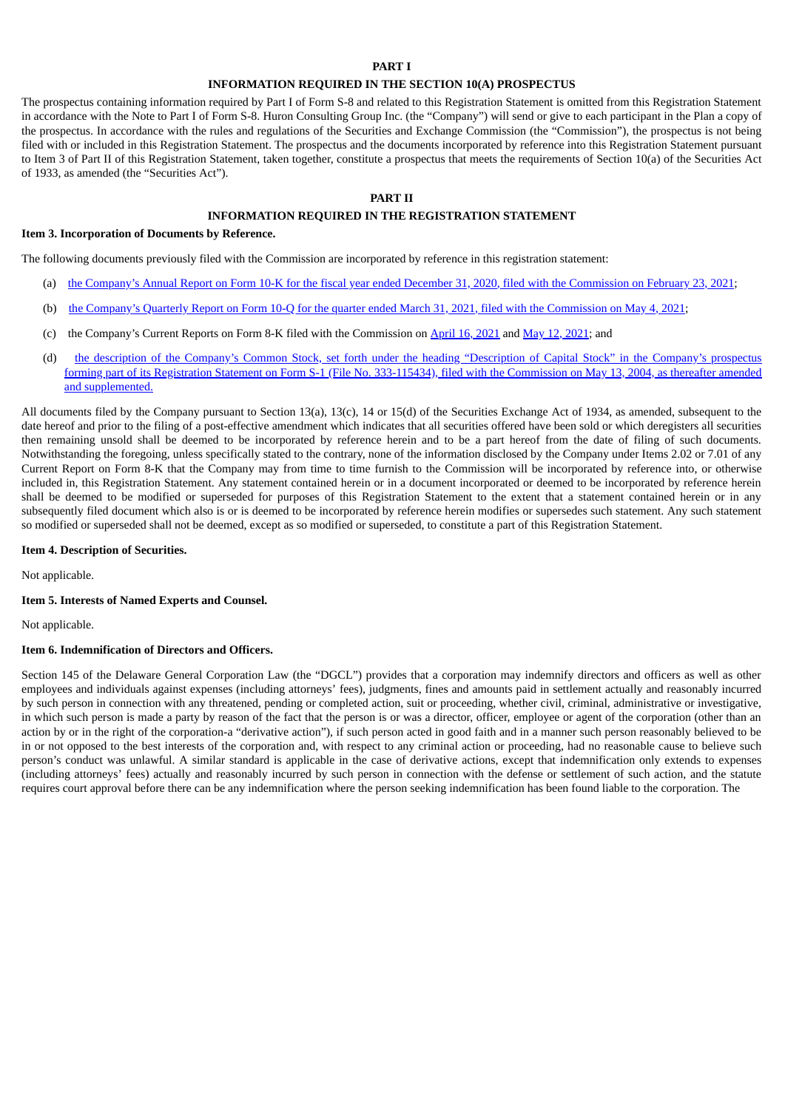#### **PART I**

#### **INFORMATION REQUIRED IN THE SECTION 10(A) PROSPECTUS**

The prospectus containing information required by Part I of Form S-8 and related to this Registration Statement is omitted from this Registration Statement in accordance with the Note to Part I of Form S-8. Huron Consulting Group Inc. (the "Company") will send or give to each participant in the Plan a copy of the prospectus. In accordance with the rules and regulations of the Securities and Exchange Commission (the "Commission"), the prospectus is not being filed with or included in this Registration Statement. The prospectus and the documents incorporated by reference into this Registration Statement pursuant to Item 3 of Part II of this Registration Statement, taken together, constitute a prospectus that meets the requirements of Section 10(a) of the Securities Act of 1933, as amended (the "Securities Act").

#### **PART II**

#### **INFORMATION REQUIRED IN THE REGISTRATION STATEMENT**

#### **Item 3. Incorporation of Documents by Reference.**

The following documents previously filed with the Commission are incorporated by reference in this registration statement:

- (a) the [Company's](https://www.sec.gov/ix?doc=/Archives/edgar/data/1289848/000128984821000009/hurn-20201231.htm) Annual Report on Form 10-K for the fiscal year ended December 31, 2[020](https://www.sec.gov/ix?doc=/Archives/edgar/data/1289848/000128984821000009/hurn-20201231.htm), filed with the [Commission](https://www.sec.gov/ix?doc=/Archives/edgar/data/1289848/000128984821000009/hurn-20201231.htm) on February [23,](https://www.sec.gov/ix?doc=/Archives/edgar/data/1289848/000128984821000009/hurn-20201231.htm) [2021](https://www.sec.gov/ix?doc=/Archives/edgar/data/1289848/000128984821000009/hurn-20201231.htm);
- (b) the [Company's](https://www.sec.gov/ix?doc=/Archives/edgar/data/1289848/000128984821000018/hurn-20210331.htm) Quarterly Report on Form 10-Q for the quarter ended March 3[1,](https://www.sec.gov/ix?doc=/Archives/edgar/data/1289848/000128984821000018/hurn-20210331.htm) 2021, filed with the [Commission](https://www.sec.gov/ix?doc=/Archives/edgar/data/1289848/000128984821000018/hurn-20210331.htm) on [May](https://www.sec.gov/ix?doc=/Archives/edgar/data/1289848/000128984821000018/hurn-20210331.htm) [4](https://www.sec.gov/ix?doc=/Archives/edgar/data/1289848/000128984821000018/hurn-20210331.htm), [2021;](https://www.sec.gov/ix?doc=/Archives/edgar/data/1289848/000128984821000018/hurn-20210331.htm)
- (c) the Company's Current Reports on Form 8-K filed with the Commission on [April](https://www.sec.gov/ix?doc=/Archives/edgar/data/1289848/000128984821000012/hurn-20210414.htm) [16,](https://www.sec.gov/ix?doc=/Archives/edgar/data/1289848/000128984821000012/hurn-20210414.htm) [2021](https://www.sec.gov/ix?doc=/Archives/edgar/data/1289848/000128984821000012/hurn-20210414.htm) and [May](https://www.sec.gov/ix?doc=/Archives/edgar/data/1289848/000128984821000021/hurn-20210507.htm) [12](https://www.sec.gov/ix?doc=/Archives/edgar/data/1289848/000128984821000021/hurn-20210507.htm), [2021;](https://www.sec.gov/ix?doc=/Archives/edgar/data/1289848/000128984821000021/hurn-20210507.htm) and
- (d) the description of the Company's Common Stock, set forth under the heading "Description of Capital Stock" in the Company's prospectus forming part of its Registration Statement on Form S-1 (File No. 333-115434), filed with the Commission on May 13, 2004, as thereafter amended and [supplemented.](http://www.sec.gov/Archives/edgar/data/1289848/000094018004000001/ds1.htm)

All documents filed by the Company pursuant to Section 13(a), 13(c), 14 or 15(d) of the Securities Exchange Act of 1934, as amended, subsequent to the date hereof and prior to the filing of a post-effective amendment which indicates that all securities offered have been sold or which deregisters all securities then remaining unsold shall be deemed to be incorporated by reference herein and to be a part hereof from the date of filing of such documents. Notwithstanding the foregoing, unless specifically stated to the contrary, none of the information disclosed by the Company under Items 2.02 or 7.01 of any Current Report on Form 8-K that the Company may from time to time furnish to the Commission will be incorporated by reference into, or otherwise included in, this Registration Statement. Any statement contained herein or in a document incorporated or deemed to be incorporated by reference herein shall be deemed to be modified or superseded for purposes of this Registration Statement to the extent that a statement contained herein or in any subsequently filed document which also is or is deemed to be incorporated by reference herein modifies or supersedes such statement. Any such statement so modified or superseded shall not be deemed, except as so modified or superseded, to constitute a part of this Registration Statement.

#### **Item 4. Description of Securities.**

Not applicable.

#### **Item 5. Interests of Named Experts and Counsel.**

Not applicable.

#### **Item 6. Indemnification of Directors and Officers.**

Section 145 of the Delaware General Corporation Law (the "DGCL") provides that a corporation may indemnify directors and officers as well as other employees and individuals against expenses (including attorneys' fees), judgments, fines and amounts paid in settlement actually and reasonably incurred by such person in connection with any threatened, pending or completed action, suit or proceeding, whether civil, criminal, administrative or investigative, in which such person is made a party by reason of the fact that the person is or was a director, officer, employee or agent of the corporation (other than an action by or in the right of the corporation-a "derivative action"), if such person acted in good faith and in a manner such person reasonably believed to be in or not opposed to the best interests of the corporation and, with respect to any criminal action or proceeding, had no reasonable cause to believe such person's conduct was unlawful. A similar standard is applicable in the case of derivative actions, except that indemnification only extends to expenses (including attorneys' fees) actually and reasonably incurred by such person in connection with the defense or settlement of such action, and the statute requires court approval before there can be any indemnification where the person seeking indemnification has been found liable to the corporation. The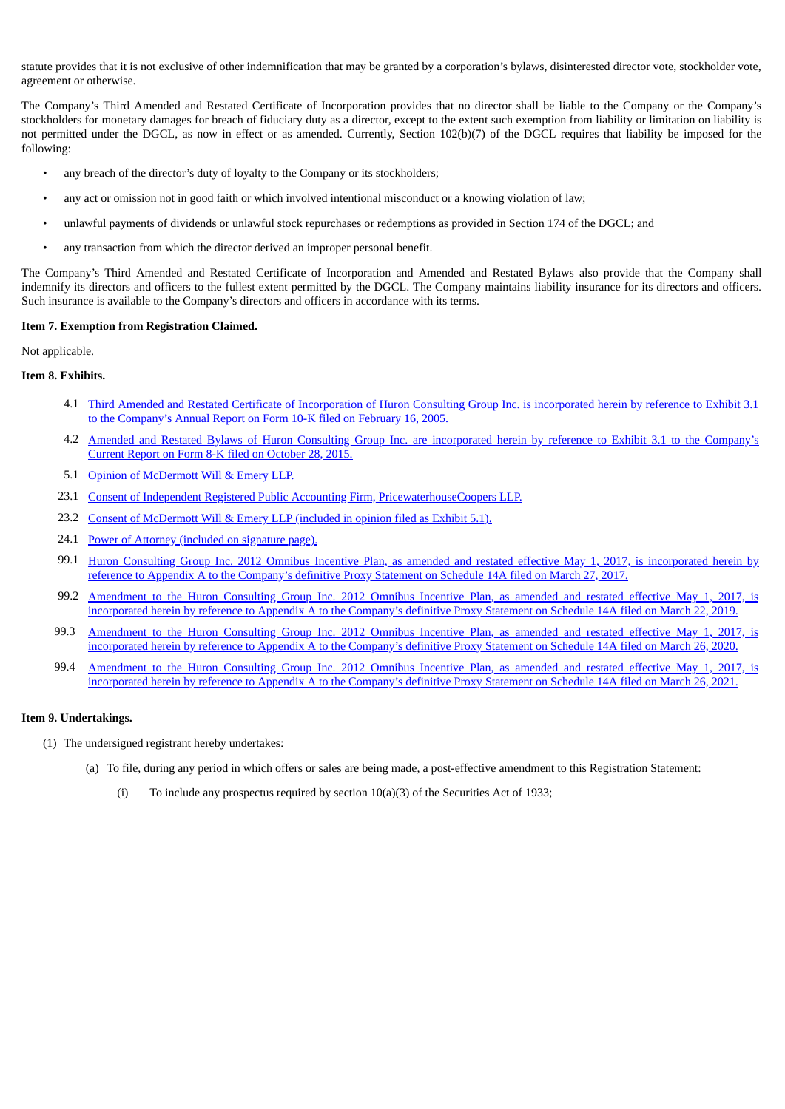statute provides that it is not exclusive of other indemnification that may be granted by a corporation's bylaws, disinterested director vote, stockholder vote, agreement or otherwise.

The Company's Third Amended and Restated Certificate of Incorporation provides that no director shall be liable to the Company or the Company's stockholders for monetary damages for breach of fiduciary duty as a director, except to the extent such exemption from liability or limitation on liability is not permitted under the DGCL, as now in effect or as amended. Currently, Section 102(b)(7) of the DGCL requires that liability be imposed for the following:

- any breach of the director's duty of loyalty to the Company or its stockholders;
- any act or omission not in good faith or which involved intentional misconduct or a knowing violation of law;
- unlawful payments of dividends or unlawful stock repurchases or redemptions as provided in Section 174 of the DGCL; and
- any transaction from which the director derived an improper personal benefit.

The Company's Third Amended and Restated Certificate of Incorporation and Amended and Restated Bylaws also provide that the Company shall indemnify its directors and officers to the fullest extent permitted by the DGCL. The Company maintains liability insurance for its directors and officers. Such insurance is available to the Company's directors and officers in accordance with its terms.

#### **Item 7. Exemption from Registration Claimed.**

Not applicable.

#### **Item 8. Exhibits.**

- 4.1 Third Amended and Restated Certificate of [Incorporation](http://www.sec.gov/Archives/edgar/data/1289848/000119312505031189/dex31.htm) of Huron Consulting Group Inc. is incorporated herein by reference to Exhibit 3.1 to the Company's Annual Report on Form 10-K filed on February 16, 2005.
- 4.2 Amended and Restated Bylaws of Huron Consulting Group Inc. are [incorporated](http://www.sec.gov/Archives/edgar/data/1289848/000128984815000017/hurn10262015exh31.htm) herein by reference to Exhibit 3.1 to the Company's Current Report on Form 8-K filed on October 28, 2015.
- 5.1 Opinion of [McDermott](#page-7-0) Will & Emery LLP.
- 23.1 Consent of Independent Registered Public Accounting Firm, [PricewaterhouseCoopers](#page-8-0) LLP.
- 23.2 Consent of [McDermott](#page-7-0) Will & Emery LLP (included in opinion filed as Exhibit 5.1).
- 24.1 Power of Attorney [\(included](#page-4-0) on signature page).
- 99.1 Huron Consulting Group Inc. 2012 Omnibus Incentive Plan, as amended and restated effective May 1, 2017, is [incorporated](http://www.sec.gov/Archives/edgar/data/1289848/000119312517097192/d341022ddef14a.htm) herein by reference to Appendix A to the Company's definitive Proxy Statement on Schedule 14A filed on March 27, 2017.
- 99.2 Amendment to the Huron Consulting Group Inc. 2012 Omnibus Incentive Plan, as amended and restated effective May 1, 2017, is [incorporated](http://www.sec.gov/Archives/edgar/data/1289848/000119312519083293/d595221ddef14a.htm) herein by reference to Appendix A to the Company's definitive Proxy Statement on Schedule 14A filed on March 22, 2019.
- 99.3 Amendment to the Huron Consulting Group Inc. 2012 Omnibus Incentive Plan, as amended and restated effective May 1, 2017, is [incorporated](https://www.sec.gov/Archives/edgar/data/1289848/000119312520086543/d867233ddef14a.htm) herein by reference to Appendix A to the Company's definitive Proxy Statement on Schedule 14A filed on March 26, 2020.
- 99.4 Amendment to the Huron Consulting Group Inc. 2012 Omnibus Incentive Plan, as amended and restated effective May 1, 2017, is [incorporated](https://www.sec.gov/Archives/edgar/data/1289848/000119312521096008/d170561ddef14a.htm) herein by reference to Appendix A to the Company's definitive Proxy Statement on Schedule 14A filed on March 26, 20[21.](https://www.sec.gov/Archives/edgar/data/1289848/000119312521096008/d170561ddef14a.htm)

#### **Item 9. Undertakings.**

- (1) The undersigned registrant hereby undertakes:
	- (a) To file, during any period in which offers or sales are being made, a post-effective amendment to this Registration Statement:
		- (i) To include any prospectus required by section  $10(a)(3)$  of the Securities Act of 1933;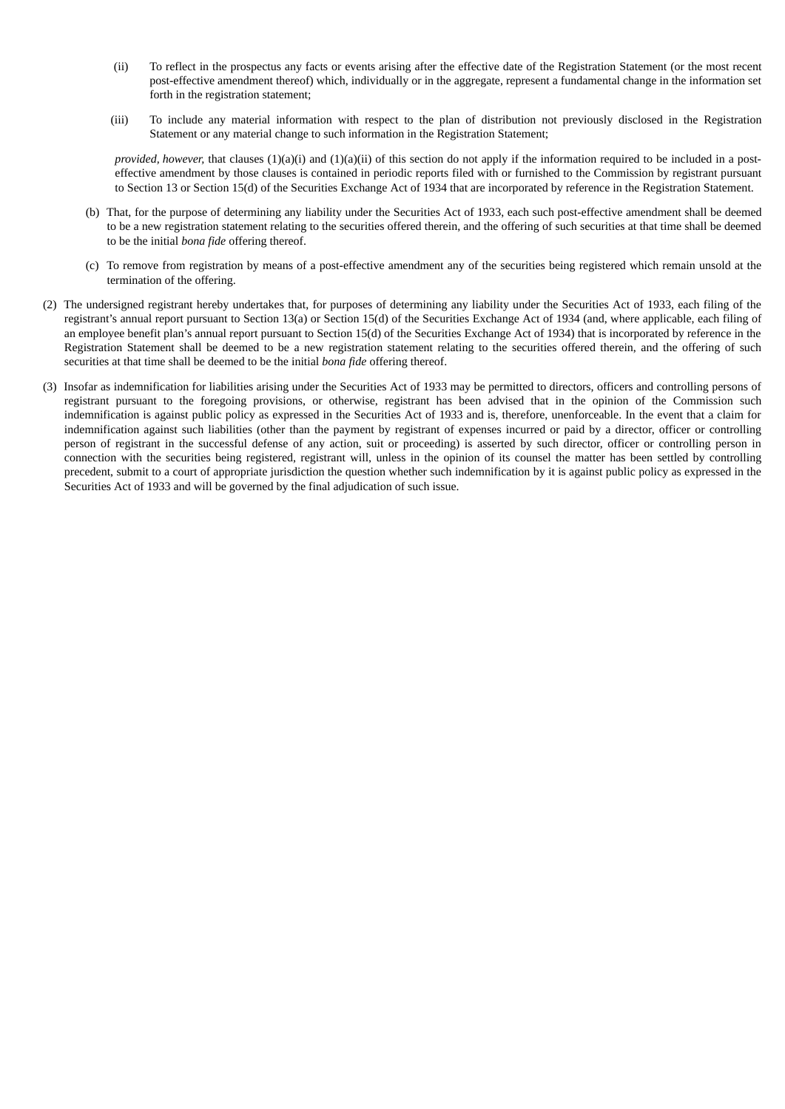- (ii) To reflect in the prospectus any facts or events arising after the effective date of the Registration Statement (or the most recent post-effective amendment thereof) which, individually or in the aggregate, represent a fundamental change in the information set forth in the registration statement;
- (iii) To include any material information with respect to the plan of distribution not previously disclosed in the Registration Statement or any material change to such information in the Registration Statement;

*provided, however,* that clauses (1)(a)(i) and (1)(a)(ii) of this section do not apply if the information required to be included in a posteffective amendment by those clauses is contained in periodic reports filed with or furnished to the Commission by registrant pursuant to Section 13 or Section 15(d) of the Securities Exchange Act of 1934 that are incorporated by reference in the Registration Statement.

- (b) That, for the purpose of determining any liability under the Securities Act of 1933, each such post-effective amendment shall be deemed to be a new registration statement relating to the securities offered therein, and the offering of such securities at that time shall be deemed to be the initial *bona fide* offering thereof.
- (c) To remove from registration by means of a post-effective amendment any of the securities being registered which remain unsold at the termination of the offering.
- (2) The undersigned registrant hereby undertakes that, for purposes of determining any liability under the Securities Act of 1933, each filing of the registrant's annual report pursuant to Section 13(a) or Section 15(d) of the Securities Exchange Act of 1934 (and, where applicable, each filing of an employee benefit plan's annual report pursuant to Section 15(d) of the Securities Exchange Act of 1934) that is incorporated by reference in the Registration Statement shall be deemed to be a new registration statement relating to the securities offered therein, and the offering of such securities at that time shall be deemed to be the initial *bona fide* offering thereof.
- <span id="page-4-0"></span>(3) Insofar as indemnification for liabilities arising under the Securities Act of 1933 may be permitted to directors, officers and controlling persons of registrant pursuant to the foregoing provisions, or otherwise, registrant has been advised that in the opinion of the Commission such indemnification is against public policy as expressed in the Securities Act of 1933 and is, therefore, unenforceable. In the event that a claim for indemnification against such liabilities (other than the payment by registrant of expenses incurred or paid by a director, officer or controlling person of registrant in the successful defense of any action, suit or proceeding) is asserted by such director, officer or controlling person in connection with the securities being registered, registrant will, unless in the opinion of its counsel the matter has been settled by controlling precedent, submit to a court of appropriate jurisdiction the question whether such indemnification by it is against public policy as expressed in the Securities Act of 1933 and will be governed by the final adjudication of such issue.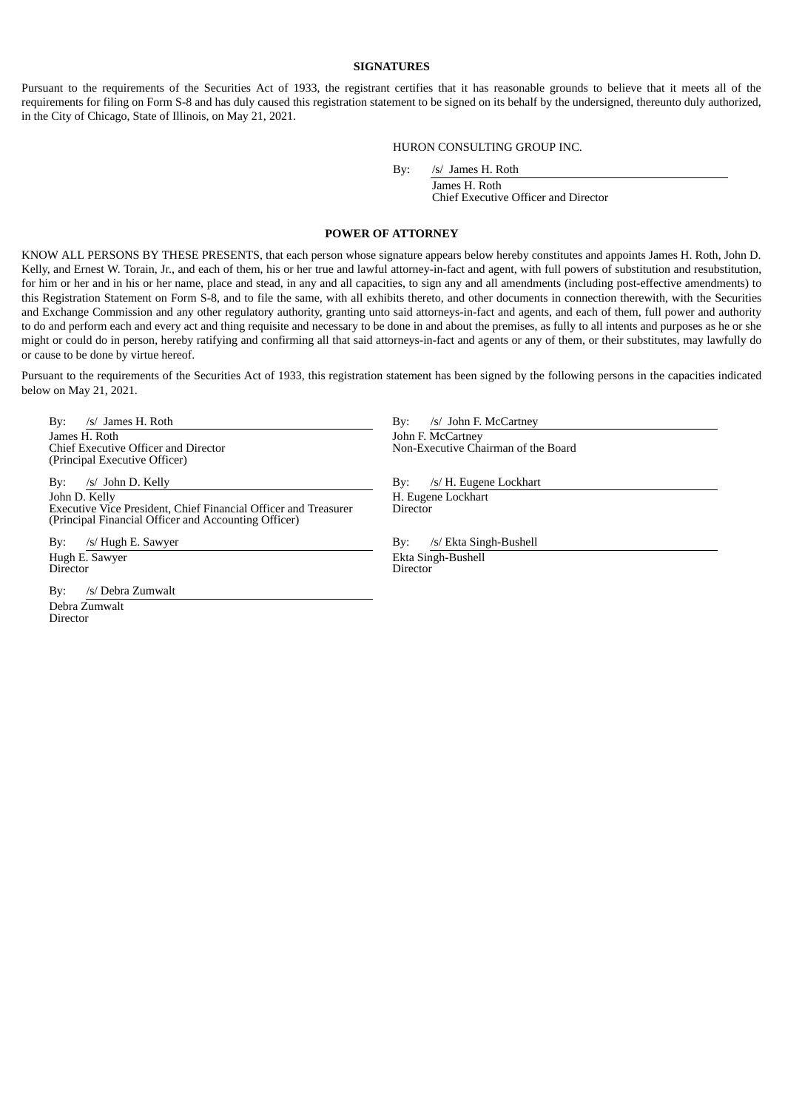#### **SIGNATURES**

Pursuant to the requirements of the Securities Act of 1933, the registrant certifies that it has reasonable grounds to believe that it meets all of the requirements for filing on Form S-8 and has duly caused this registration statement to be signed on its behalf by the undersigned, thereunto duly authorized, in the City of Chicago, State of Illinois, on May 21, 2021.

#### HURON CONSULTING GROUP INC.

By: /s/ James H. Roth

James H. Roth Chief Executive Officer and Director

#### **POWER OF ATTORNEY**

KNOW ALL PERSONS BY THESE PRESENTS, that each person whose signature appears below hereby constitutes and appoints James H. Roth, John D. Kelly, and Ernest W. Torain, Jr., and each of them, his or her true and lawful attorney-in-fact and agent, with full powers of substitution and resubstitution, for him or her and in his or her name, place and stead, in any and all capacities, to sign any and all amendments (including post-effective amendments) to this Registration Statement on Form S-8, and to file the same, with all exhibits thereto, and other documents in connection therewith, with the Securities and Exchange Commission and any other regulatory authority, granting unto said attorneys-in-fact and agents, and each of them, full power and authority to do and perform each and every act and thing requisite and necessary to be done in and about the premises, as fully to all intents and purposes as he or she might or could do in person, hereby ratifying and confirming all that said attorneys-in-fact and agents or any of them, or their substitutes, may lawfully do or cause to be done by virtue hereof.

Pursuant to the requirements of the Securities Act of 1933, this registration statement has been signed by the following persons in the capacities indicated below on May 21, 2021.

By: /s/ James H. Roth By: /s/ John F. McCartney James H. Roth Chief Executive Officer and Director (Principal Executive Officer)

By: /s/ John D. Kelly By: /s/ H. Eugene Lockhart John D. Kelly Executive Vice President, Chief Financial Officer and Treasurer (Principal Financial Officer and Accounting Officer)

Hugh E. Sawyer **Director** 

By: /s/ Debra Zumwalt Debra Zumwalt **Director** 

John F. McCartney

Non-Executive Chairman of the Board

H. Eugene Lockhart **Director** 

By: /s/ Hugh E. Sawyer By: /s/ Ekta Singh-Bushell

Ekta Singh-Bushell Director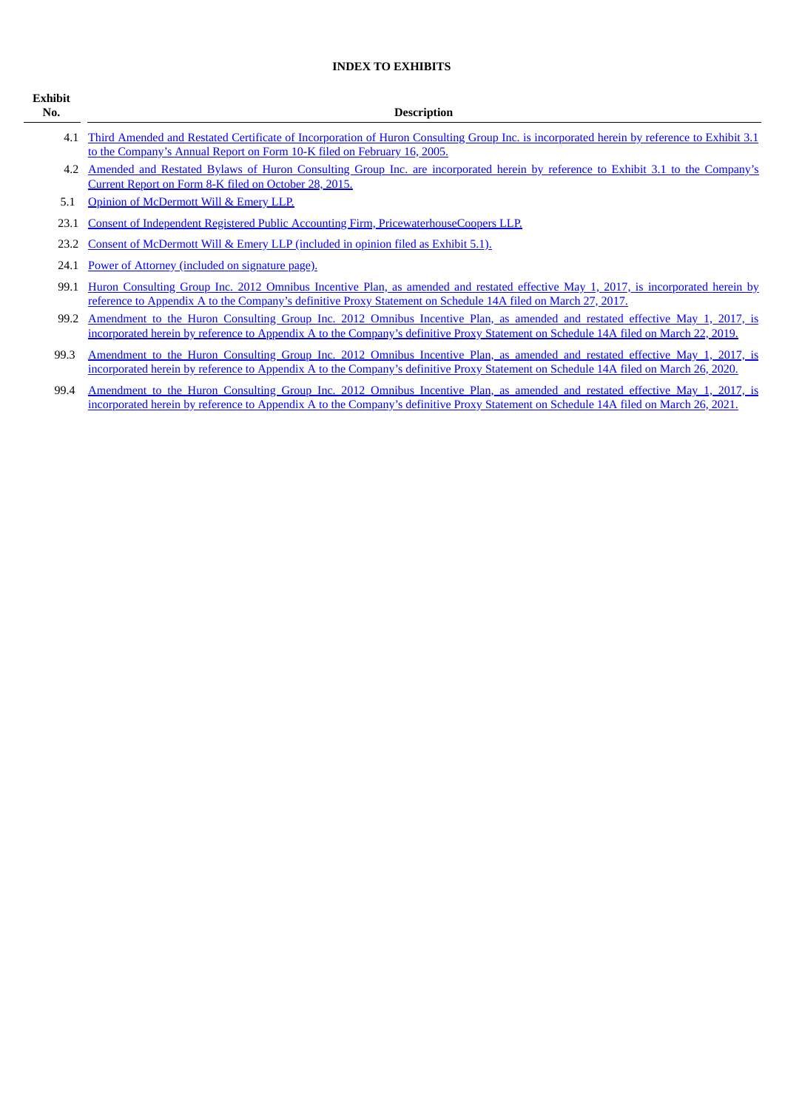### **INDEX TO EXHIBITS**

| <b>Exhibit</b><br>No. | <b>Description</b>                                                                                                                                                                                                                                                 |
|-----------------------|--------------------------------------------------------------------------------------------------------------------------------------------------------------------------------------------------------------------------------------------------------------------|
| 4.1                   | Third Amended and Restated Certificate of Incorporation of Huron Consulting Group Inc. is incorporated herein by reference to Exhibit 3.1<br>to the Company's Annual Report on Form 10-K filed on February 16, 2005.                                               |
| 4.2                   | Amended and Restated Bylaws of Huron Consulting Group Inc. are incorporated herein by reference to Exhibit 3.1 to the Company's<br>Current Report on Form 8-K filed on October 28, 2015.                                                                           |
| 5.1                   | Opinion of McDermott Will & Emery LLP.                                                                                                                                                                                                                             |
| 23.1                  | Consent of Independent Registered Public Accounting Firm, PricewaterhouseCoopers LLP.                                                                                                                                                                              |
| 23.2                  | Consent of McDermott Will & Emery LLP (included in opinion filed as Exhibit 5.1).                                                                                                                                                                                  |
| 24.1                  | Power of Attorney (included on signature page).                                                                                                                                                                                                                    |
| 99.1                  | Huron Consulting Group Inc. 2012 Omnibus Incentive Plan, as amended and restated effective May 1, 2017, is incorporated herein by<br>reference to Appendix A to the Company's definitive Proxy Statement on Schedule 14A filed on March 27, 2017.                  |
| 99.2                  | Amendment to the Huron Consulting Group Inc. 2012 Omnibus Incentive Plan, as amended and restated effective May 1, 2017, is<br>incorporated herein by reference to Appendix A to the Company's definitive Proxy Statement on Schedule 14A filed on March 22, 2019. |
| 99.3                  | Amendment to the Huron Consulting Group Inc. 2012 Omnibus Incentive Plan, as amended and restated effective May 1, 2017, is<br>incorporated herein by reference to Appendix A to the Company's definitive Proxy Statement on Schedule 14A filed on March 26, 2020. |
| 99.4                  | Amendment to the Huron Consulting Group Inc. 2012 Omnibus Incentive Plan, as amended and restated effective May 1, 2017, is<br>incorporated herein by reference to Appendix A to the Company's definitive Proxy Statement on Schedule 14A filed on March 26, 2021. |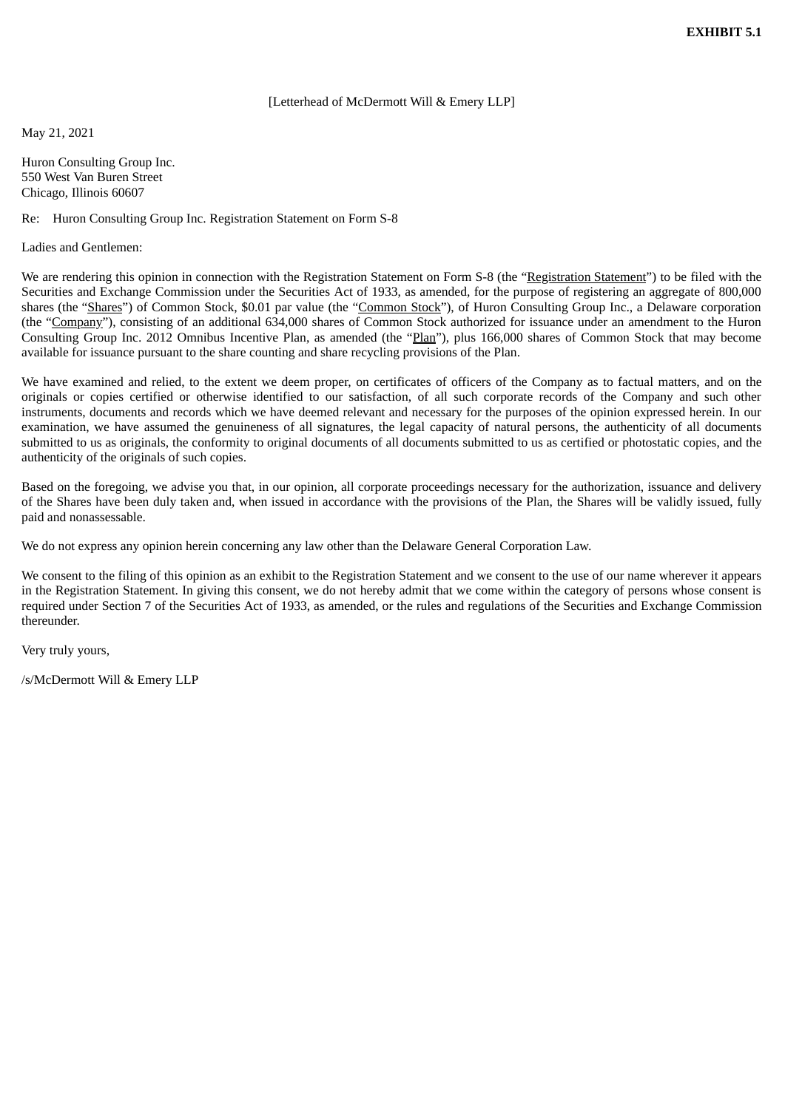#### [Letterhead of McDermott Will & Emery LLP]

<span id="page-7-0"></span>May 21, 2021

Huron Consulting Group Inc. 550 West Van Buren Street Chicago, Illinois 60607

#### Re: Huron Consulting Group Inc. Registration Statement on Form S-8

Ladies and Gentlemen:

We are rendering this opinion in connection with the Registration Statement on Form S-8 (the "Registration Statement") to be filed with the Securities and Exchange Commission under the Securities Act of 1933, as amended, for the purpose of registering an aggregate of 800,000 shares (the "Shares") of Common Stock, \$0.01 par value (the "Common Stock"), of Huron Consulting Group Inc., a Delaware corporation (the "Company"), consisting of an additional 634,000 shares of Common Stock authorized for issuance under an amendment to the Huron Consulting Group Inc. 2012 Omnibus Incentive Plan, as amended (the "Plan"), plus 166,000 shares of Common Stock that may become available for issuance pursuant to the share counting and share recycling provisions of the Plan.

We have examined and relied, to the extent we deem proper, on certificates of officers of the Company as to factual matters, and on the originals or copies certified or otherwise identified to our satisfaction, of all such corporate records of the Company and such other instruments, documents and records which we have deemed relevant and necessary for the purposes of the opinion expressed herein. In our examination, we have assumed the genuineness of all signatures, the legal capacity of natural persons, the authenticity of all documents submitted to us as originals, the conformity to original documents of all documents submitted to us as certified or photostatic copies, and the authenticity of the originals of such copies.

Based on the foregoing, we advise you that, in our opinion, all corporate proceedings necessary for the authorization, issuance and delivery of the Shares have been duly taken and, when issued in accordance with the provisions of the Plan, the Shares will be validly issued, fully paid and nonassessable.

We do not express any opinion herein concerning any law other than the Delaware General Corporation Law.

We consent to the filing of this opinion as an exhibit to the Registration Statement and we consent to the use of our name wherever it appears in the Registration Statement. In giving this consent, we do not hereby admit that we come within the category of persons whose consent is required under Section 7 of the Securities Act of 1933, as amended, or the rules and regulations of the Securities and Exchange Commission thereunder.

Very truly yours,

/s/McDermott Will & Emery LLP